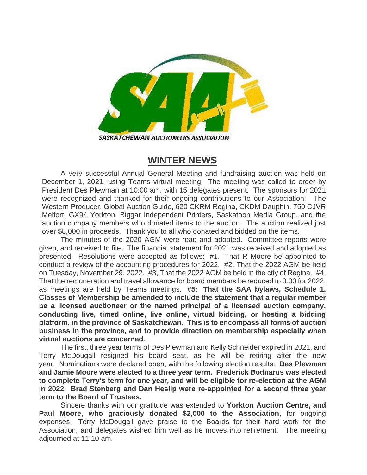

SASKATCHEWAN AUCTIONEERS ASSOCIATION

## **WINTER NEWS**

A very successful Annual General Meeting and fundraising auction was held on December 1, 2021, using Teams virtual meeting. The meeting was called to order by President Des Plewman at 10:00 am, with 15 delegates present. The sponsors for 2021 were recognized and thanked for their ongoing contributions to our Association: The Western Producer, Global Auction Guide, 620 CKRM Regina, CKDM Dauphin, 750 CJVR Melfort, GX94 Yorkton, Biggar Independent Printers, Saskatoon Media Group, and the auction company members who donated items to the auction. The auction realized just over \$8,000 in proceeds. Thank you to all who donated and bidded on the items.

The minutes of the 2020 AGM were read and adopted. Committee reports were given, and received to file. The financial statement for 2021 was received and adopted as presented. Resolutions were accepted as follows: #1. That R Moore be appointed to conduct a review of the accounting procedures for 2022. #2, That the 2022 AGM be held on Tuesday, November 29, 2022. #3, That the 2022 AGM be held in the city of Regina. #4, That the remuneration and travel allowance for board members be reduced to 0.00 for 2022, as meetings are held by Teams meetings. **#5: That the SAA bylaws, Schedule 1, Classes of Membership be amended to include the statement that a regular member be a licensed auctioneer or the named principal of a licensed auction company, conducting live, timed online, live online, virtual bidding, or hosting a bidding platform, in the province of Saskatchewan. This is to encompass all forms of auction business in the province, and to provide direction on membership especially when virtual auctions are concerned**.

The first, three year terms of Des Plewman and Kelly Schneider expired in 2021, and Terry McDougall resigned his board seat, as he will be retiring after the new year. Nominations were declared open, with the following election results: **Des Plewman and Jamie Moore were elected to a three year term. Frederick Bodnarus was elected to complete Terry's term for one year, and will be eligible for re-election at the AGM in 2022. Brad Stenberg and Dan Heslip were re-appointed for a second three year term to the Board of Trustees.**

Sincere thanks with our gratitude was extended to **Yorkton Auction Centre, and Paul Moore, who graciously donated \$2,000 to the Association**, for ongoing expenses. Terry McDougall gave praise to the Boards for their hard work for the Association, and delegates wished him well as he moves into retirement. The meeting adjourned at 11:10 am.